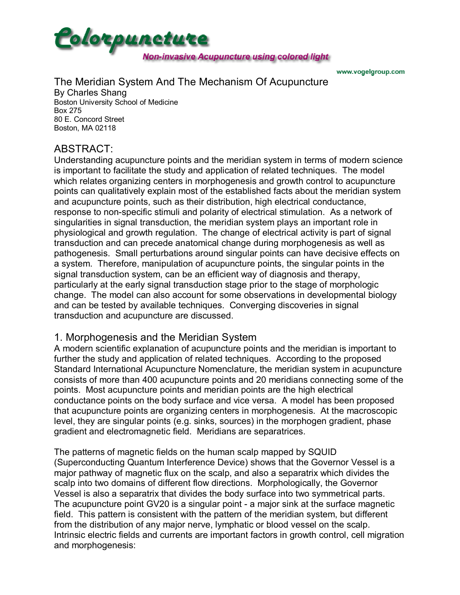

www.vogelgroup.com

# The Meridian System And The Mechanism Of Acupuncture

By Charles Shang Boston University School of Medicine Box 275 80 E. Concord Street Boston, MA 02118

## ABSTRACT:

Understanding acupuncture points and the meridian system in terms of modern science is important to facilitate the study and application of related techniques. The model which relates organizing centers in morphogenesis and growth control to acupuncture points can qualitatively explain most of the established facts about the meridian system and acupuncture points, such as their distribution, high electrical conductance, response to non-specific stimuli and polarity of electrical stimulation. As a network of singularities in signal transduction, the meridian system plays an important role in physiological and growth regulation. The change of electrical activity is part of signal transduction and can precede anatomical change during morphogenesis as well as pathogenesis. Small perturbations around singular points can have decisive effects on a system. Therefore, manipulation of acupuncture points, the singular points in the signal transduction system, can be an efficient way of diagnosis and therapy, particularly at the early signal transduction stage prior to the stage of morphologic change. The model can also account for some observations in developmental biology and can be tested by available techniques. Converging discoveries in signal transduction and acupuncture are discussed.

## 1. Morphogenesis and the Meridian System

A modern scientific explanation of acupuncture points and the meridian is important to further the study and application of related techniques. According to the proposed Standard International Acupuncture Nomenclature, the meridian system in acupuncture consists of more than 400 acupuncture points and 20 meridians connecting some of the points. Most acupuncture points and meridian points are the high electrical conductance points on the body surface and vice versa. A model has been proposed that acupuncture points are organizing centers in morphogenesis. At the macroscopic level, they are singular points (e.g. sinks, sources) in the morphogen gradient, phase gradient and electromagnetic field. Meridians are separatrices.

The patterns of magnetic fields on the human scalp mapped by SQUID (Superconducting Quantum Interference Device) shows that the Governor Vessel is a major pathway of magnetic flux on the scalp, and also a separatrix which divides the scalp into two domains of different flow directions. Morphologically, the Governor Vessel is also a separatrix that divides the body surface into two symmetrical parts. The acupuncture point GV20 is a singular point - a major sink at the surface magnetic field. This pattern is consistent with the pattern of the meridian system, but different from the distribution of any major nerve, lymphatic or blood vessel on the scalp. Intrinsic electric fields and currents are important factors in growth control, cell migration and morphogenesis: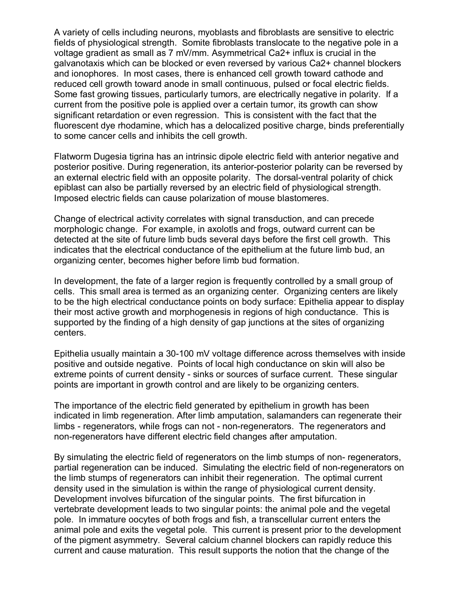A variety of cells including neurons, myoblasts and fibroblasts are sensitive to electric fields of physiological strength. Somite fibroblasts translocate to the negative pole in a voltage gradient as small as 7 mV/mm. Asymmetrical Ca2+ influx is crucial in the galvanotaxis which can be blocked or even reversed by various Ca2+ channel blockers and ionophores. In most cases, there is enhanced cell growth toward cathode and reduced cell growth toward anode in small continuous, pulsed or focal electric fields. Some fast growing tissues, particularly tumors, are electrically negative in polarity. If a current from the positive pole is applied over a certain tumor, its growth can show significant retardation or even regression. This is consistent with the fact that the fluorescent dye rhodamine, which has a delocalized positive charge, binds preferentially to some cancer cells and inhibits the cell growth.

Flatworm Dugesia tigrina has an intrinsic dipole electric field with anterior negative and posterior positive. During regeneration, its anterior-posterior polarity can be reversed by an external electric field with an opposite polarity. The dorsal-ventral polarity of chick epiblast can also be partially reversed by an electric field of physiological strength. Imposed electric fields can cause polarization of mouse blastomeres.

Change of electrical activity correlates with signal transduction, and can precede morphologic change. For example, in axolotls and frogs, outward current can be detected at the site of future limb buds several days before the first cell growth. This indicates that the electrical conductance of the epithelium at the future limb bud, an organizing center, becomes higher before limb bud formation.

In development, the fate of a larger region is frequently controlled by a small group of cells. This small area is termed as an organizing center. Organizing centers are likely to be the high electrical conductance points on body surface: Epithelia appear to display their most active growth and morphogenesis in regions of high conductance. This is supported by the finding of a high density of gap junctions at the sites of organizing centers.

Epithelia usually maintain a 30-100 mV voltage difference across themselves with inside positive and outside negative. Points of local high conductance on skin will also be extreme points of current density - sinks or sources of surface current. These singular points are important in growth control and are likely to be organizing centers.

The importance of the electric field generated by epithelium in growth has been indicated in limb regeneration. After limb amputation, salamanders can regenerate their limbs - regenerators, while frogs can not - non-regenerators. The regenerators and non-regenerators have different electric field changes after amputation.

By simulating the electric field of regenerators on the limb stumps of non- regenerators, partial regeneration can be induced. Simulating the electric field of non-regenerators on the limb stumps of regenerators can inhibit their regeneration. The optimal current density used in the simulation is within the range of physiological current density. Development involves bifurcation of the singular points. The first bifurcation in vertebrate development leads to two singular points: the animal pole and the vegetal pole. In immature oocytes of both frogs and fish, a transcellular current enters the animal pole and exits the vegetal pole. This current is present prior to the development of the pigment asymmetry. Several calcium channel blockers can rapidly reduce this current and cause maturation. This result supports the notion that the change of the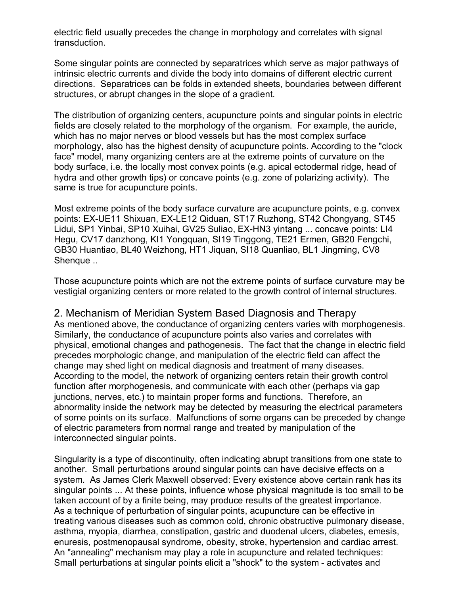electric field usually precedes the change in morphology and correlates with signal transduction.

Some singular points are connected by separatrices which serve as major pathways of intrinsic electric currents and divide the body into domains of different electric current directions. Separatrices can be folds in extended sheets, boundaries between different structures, or abrupt changes in the slope of a gradient.

The distribution of organizing centers, acupuncture points and singular points in electric fields are closely related to the morphology of the organism. For example, the auricle, which has no major nerves or blood vessels but has the most complex surface morphology, also has the highest density of acupuncture points. According to the "clock face" model, many organizing centers are at the extreme points of curvature on the body surface, i.e. the locally most convex points (e.g. apical ectodermal ridge, head of hydra and other growth tips) or concave points (e.g. zone of polarizing activity). The same is true for acupuncture points.

Most extreme points of the body surface curvature are acupuncture points, e.g. convex points: EX-UE11 Shixuan, EX-LE12 Qiduan, ST17 Ruzhong, ST42 Chongyang, ST45 Lidui, SP1 Yinbai, SP10 Xuihai, GV25 Suliao, EX-HN3 yintang ... concave points: LI4 Hegu, CV17 danzhong, KI1 Yongquan, SI19 Tinggong, TE21 Ermen, GB20 Fengchi, GB30 Huantiao, BL40 Weizhong, HT1 Jiquan, SI18 Quanliao, BL1 Jingming, CV8 Shenque ..

Those acupuncture points which are not the extreme points of surface curvature may be vestigial organizing centers or more related to the growth control of internal structures.

#### 2. Mechanism of Meridian System Based Diagnosis and Therapy

As mentioned above, the conductance of organizing centers varies with morphogenesis. Similarly, the conductance of acupuncture points also varies and correlates with physical, emotional changes and pathogenesis. The fact that the change in electric field precedes morphologic change, and manipulation of the electric field can affect the change may shed light on medical diagnosis and treatment of many diseases. According to the model, the network of organizing centers retain their growth control function after morphogenesis, and communicate with each other (perhaps via gap junctions, nerves, etc.) to maintain proper forms and functions. Therefore, an abnormality inside the network may be detected by measuring the electrical parameters of some points on its surface. Malfunctions of some organs can be preceded by change of electric parameters from normal range and treated by manipulation of the interconnected singular points.

Singularity is a type of discontinuity, often indicating abrupt transitions from one state to another. Small perturbations around singular points can have decisive effects on a system. As James Clerk Maxwell observed: Every existence above certain rank has its singular points ... At these points, influence whose physical magnitude is too small to be taken account of by a finite being, may produce results of the greatest importance. As a technique of perturbation of singular points, acupuncture can be effective in treating various diseases such as common cold, chronic obstructive pulmonary disease, asthma, myopia, diarrhea, constipation, gastric and duodenal ulcers, diabetes, emesis, enuresis, postmenopausal syndrome, obesity, stroke, hypertension and cardiac arrest. An "annealing" mechanism may play a role in acupuncture and related techniques: Small perturbations at singular points elicit a "shock" to the system - activates and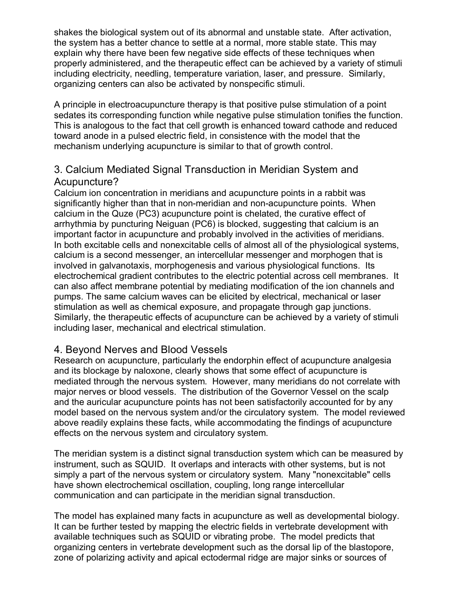shakes the biological system out of its abnormal and unstable state. After activation, the system has a better chance to settle at a normal, more stable state. This may explain why there have been few negative side effects of these techniques when properly administered, and the therapeutic effect can be achieved by a variety of stimuli including electricity, needling, temperature variation, laser, and pressure. Similarly, organizing centers can also be activated by nonspecific stimuli.

A principle in electroacupuncture therapy is that positive pulse stimulation of a point sedates its corresponding function while negative pulse stimulation tonifies the function. This is analogous to the fact that cell growth is enhanced toward cathode and reduced toward anode in a pulsed electric field, in consistence with the model that the mechanism underlying acupuncture is similar to that of growth control.

## 3. Calcium Mediated Signal Transduction in Meridian System and Acupuncture?

Calcium ion concentration in meridians and acupuncture points in a rabbit was significantly higher than that in non-meridian and non-acupuncture points. When calcium in the Quze (PC3) acupuncture point is chelated, the curative effect of arrhythmia by puncturing Neiguan (PC6) is blocked, suggesting that calcium is an important factor in acupuncture and probably involved in the activities of meridians. In both excitable cells and nonexcitable cells of almost all of the physiological systems, calcium is a second messenger, an intercellular messenger and morphogen that is involved in galvanotaxis, morphogenesis and various physiological functions. Its electrochemical gradient contributes to the electric potential across cell membranes. It can also affect membrane potential by mediating modification of the ion channels and pumps. The same calcium waves can be elicited by electrical, mechanical or laser stimulation as well as chemical exposure, and propagate through gap junctions. Similarly, the therapeutic effects of acupuncture can be achieved by a variety of stimuli including laser, mechanical and electrical stimulation.

## 4. Beyond Nerves and Blood Vessels

Research on acupuncture, particularly the endorphin effect of acupuncture analgesia and its blockage by naloxone, clearly shows that some effect of acupuncture is mediated through the nervous system. However, many meridians do not correlate with major nerves or blood vessels. The distribution of the Governor Vessel on the scalp and the auricular acupuncture points has not been satisfactorily accounted for by any model based on the nervous system and/or the circulatory system. The model reviewed above readily explains these facts, while accommodating the findings of acupuncture effects on the nervous system and circulatory system.

The meridian system is a distinct signal transduction system which can be measured by instrument, such as SQUID. It overlaps and interacts with other systems, but is not simply a part of the nervous system or circulatory system. Many "nonexcitable" cells have shown electrochemical oscillation, coupling, long range intercellular communication and can participate in the meridian signal transduction.

The model has explained many facts in acupuncture as well as developmental biology. It can be further tested by mapping the electric fields in vertebrate development with available techniques such as SQUID or vibrating probe. The model predicts that organizing centers in vertebrate development such as the dorsal lip of the blastopore, zone of polarizing activity and apical ectodermal ridge are major sinks or sources of